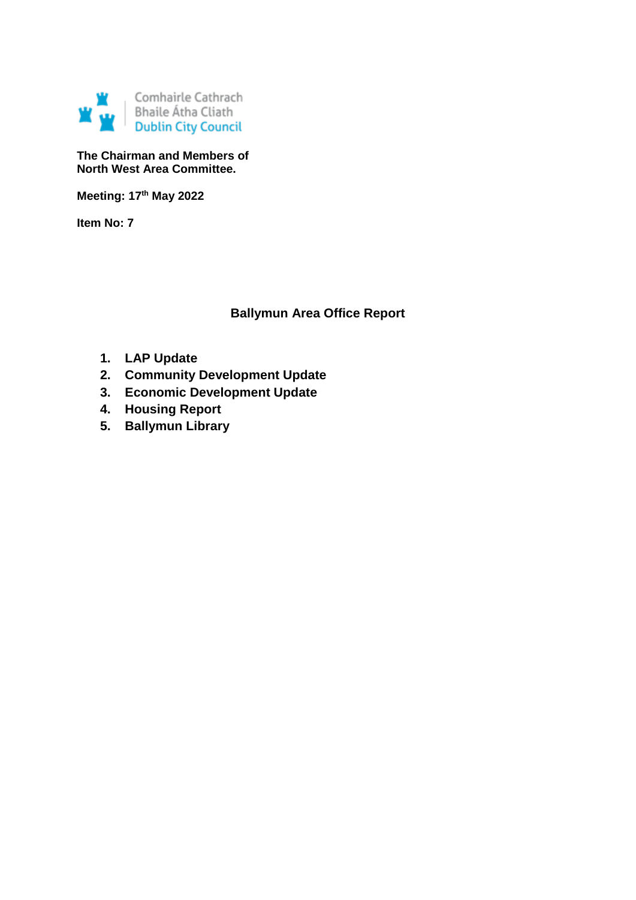

#### **The Chairman and Members of North West Area Committee.**

**Meeting: 17th May 2022**

**Item No: 7**

# **Ballymun Area Office Report**

- **1. LAP Update**
- **2. Community Development Update**
- **3. Economic Development Update**
- **4. Housing Report**
- **5. Ballymun Library**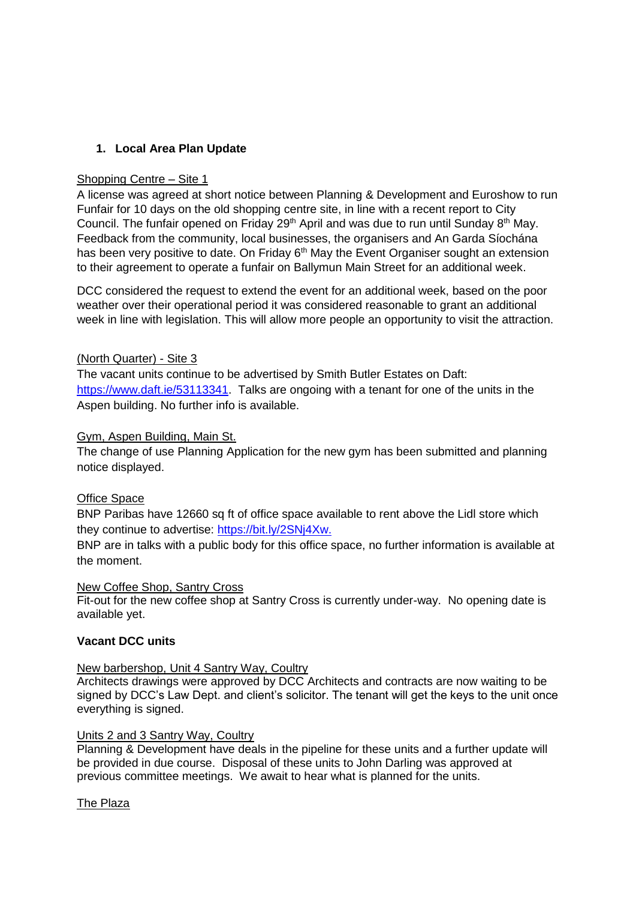# **1. Local Area Plan Update**

#### Shopping Centre – Site 1

A license was agreed at short notice between Planning & Development and Euroshow to run Funfair for 10 days on the old shopping centre site, in line with a recent report to City Council. The funfair opened on Friday 29<sup>th</sup> April and was due to run until Sunday 8<sup>th</sup> May. Feedback from the community, local businesses, the organisers and An Garda Síochána has been very positive to date. On Friday 6<sup>th</sup> May the Event Organiser sought an extension to their agreement to operate a funfair on Ballymun Main Street for an additional week.

DCC considered the request to extend the event for an additional week, based on the poor weather over their operational period it was considered reasonable to grant an additional week in line with legislation. This will allow more people an opportunity to visit the attraction.

#### (North Quarter) - Site 3

The vacant units continue to be advertised by Smith Butler Estates on Daft: [https://www.daft.ie/53113341.](https://www.daft.ie/53113341) Talks are ongoing with a tenant for one of the units in the Aspen building. No further info is available.

#### Gym, Aspen Building, Main St.

The change of use Planning Application for the new gym has been submitted and planning notice displayed.

#### Office Space

BNP Paribas have 12660 sq ft of office space available to rent above the Lidl store which they continue to advertise: [https://bit.ly/2SNj4Xw.](https://bit.ly/2SNj4Xw)

BNP are in talks with a public body for this office space, no further information is available at the moment.

#### New Coffee Shop, Santry Cross

Fit-out for the new coffee shop at Santry Cross is currently under-way. No opening date is available yet.

#### **Vacant DCC units**

#### New barbershop, Unit 4 Santry Way, Coultry

Architects drawings were approved by DCC Architects and contracts are now waiting to be signed by DCC's Law Dept. and client's solicitor. The tenant will get the keys to the unit once everything is signed.

### Units 2 and 3 Santry Way, Coultry

Planning & Development have deals in the pipeline for these units and a further update will be provided in due course. Disposal of these units to John Darling was approved at previous committee meetings. We await to hear what is planned for the units.

#### The Plaza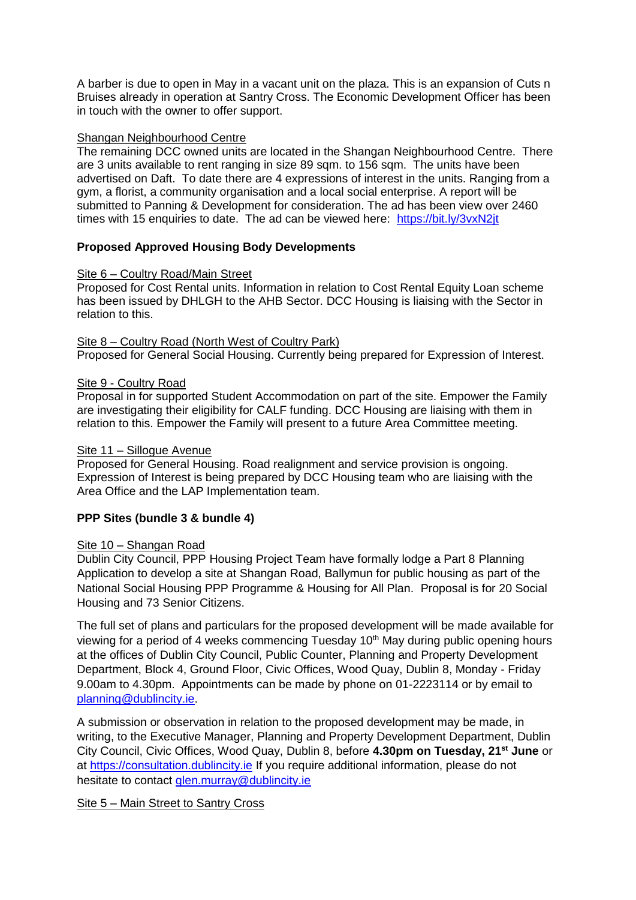A barber is due to open in May in a vacant unit on the plaza. This is an expansion of Cuts n Bruises already in operation at Santry Cross. The Economic Development Officer has been in touch with the owner to offer support.

#### Shangan Neighbourhood Centre

The remaining DCC owned units are located in the Shangan Neighbourhood Centre. There are 3 units available to rent ranging in size 89 sqm. to 156 sqm. The units have been advertised on Daft. To date there are 4 expressions of interest in the units. Ranging from a gym, a florist, a community organisation and a local social enterprise. A report will be submitted to Panning & Development for consideration. The ad has been view over 2460 times with 15 enquiries to date. The ad can be viewed here: <https://bit.ly/3vxN2jt>

# **Proposed Approved Housing Body Developments**

#### Site 6 – Coultry Road/Main Street

Proposed for Cost Rental units. Information in relation to Cost Rental Equity Loan scheme has been issued by DHLGH to the AHB Sector. DCC Housing is liaising with the Sector in relation to this.

#### Site 8 – Coultry Road (North West of Coultry Park)

Proposed for General Social Housing. Currently being prepared for Expression of Interest.

#### Site 9 - Coultry Road

Proposal in for supported Student Accommodation on part of the site. Empower the Family are investigating their eligibility for CALF funding. DCC Housing are liaising with them in relation to this. Empower the Family will present to a future Area Committee meeting.

## Site 11 – Sillogue Avenue

Proposed for General Housing. Road realignment and service provision is ongoing. Expression of Interest is being prepared by DCC Housing team who are liaising with the Area Office and the LAP Implementation team.

#### **PPP Sites (bundle 3 & bundle 4)**

#### Site 10 – Shangan Road

Dublin City Council, PPP Housing Project Team have formally lodge a Part 8 Planning Application to develop a site at Shangan Road, Ballymun for public housing as part of the National Social Housing PPP Programme & Housing for All Plan. Proposal is for 20 Social Housing and 73 Senior Citizens.

The full set of plans and particulars for the proposed development will be made available for viewing for a period of 4 weeks commencing Tuesday 10<sup>th</sup> May during public opening hours at the offices of Dublin City Council, Public Counter, Planning and Property Development Department, Block 4, Ground Floor, Civic Offices, Wood Quay, Dublin 8, Monday - Friday 9.00am to 4.30pm. Appointments can be made by phone on 01-2223114 or by email to [planning@dublincity.ie.](mailto:planning@dublincity.ie)

A submission or observation in relation to the proposed development may be made, in writing, to the Executive Manager, Planning and Property Development Department, Dublin City Council, Civic Offices, Wood Quay, Dublin 8, before **4.30pm on Tuesday, 21st June** or at [https://consultation.dublincity.ie](https://consultation.dublincity.ie/) If you require additional information, please do not hesitate to contact [glen.murray@dublincity.ie](mailto:glen.murray@dublincity.ie)

Site 5 – Main Street to Santry Cross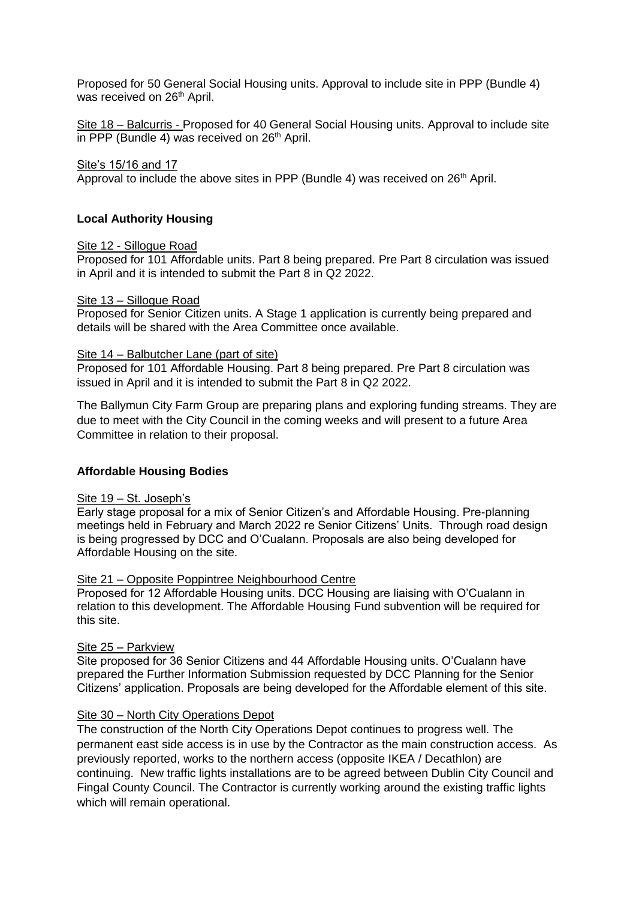Proposed for 50 General Social Housing units. Approval to include site in PPP (Bundle 4) was received on 26<sup>th</sup> April.

Site 18 – Balcurris - Proposed for 40 General Social Housing units. Approval to include site in PPP (Bundle 4) was received on  $26<sup>th</sup>$  April.

#### Site's 15/16 and 17

Approval to include the above sites in PPP (Bundle 4) was received on  $26<sup>th</sup>$  April.

#### **Local Authority Housing**

#### Site 12 - Sillogue Road

Proposed for 101 Affordable units. Part 8 being prepared. Pre Part 8 circulation was issued in April and it is intended to submit the Part 8 in Q2 2022.

#### Site 13 – Sillogue Road

Proposed for Senior Citizen units. A Stage 1 application is currently being prepared and details will be shared with the Area Committee once available.

#### Site 14 – Balbutcher Lane (part of site)

Proposed for 101 Affordable Housing. Part 8 being prepared. Pre Part 8 circulation was issued in April and it is intended to submit the Part 8 in Q2 2022.

The Ballymun City Farm Group are preparing plans and exploring funding streams. They are due to meet with the City Council in the coming weeks and will present to a future Area Committee in relation to their proposal.

#### **Affordable Housing Bodies**

#### Site 19 – St. Joseph's

Early stage proposal for a mix of Senior Citizen's and Affordable Housing. Pre-planning meetings held in February and March 2022 re Senior Citizens' Units. Through road design is being progressed by DCC and O'Cualann. Proposals are also being developed for Affordable Housing on the site.

#### Site 21 – Opposite Poppintree Neighbourhood Centre

Proposed for 12 Affordable Housing units. DCC Housing are liaising with O'Cualann in relation to this development. The Affordable Housing Fund subvention will be required for this site.

#### Site 25 – Parkview

Site proposed for 36 Senior Citizens and 44 Affordable Housing units. O'Cualann have prepared the Further Information Submission requested by DCC Planning for the Senior Citizens' application. Proposals are being developed for the Affordable element of this site.

#### Site 30 – North City Operations Depot

The construction of the North City Operations Depot continues to progress well. The permanent east side access is in use by the Contractor as the main construction access. As previously reported, works to the northern access (opposite IKEA / Decathlon) are continuing. New traffic lights installations are to be agreed between Dublin City Council and Fingal County Council. The Contractor is currently working around the existing traffic lights which will remain operational.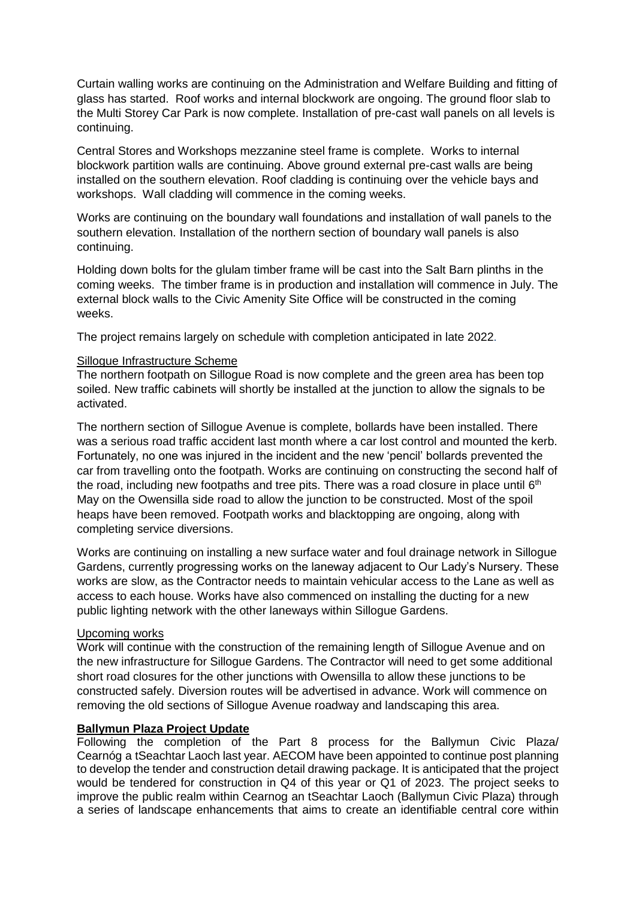Curtain walling works are continuing on the Administration and Welfare Building and fitting of glass has started. Roof works and internal blockwork are ongoing. The ground floor slab to the Multi Storey Car Park is now complete. Installation of pre-cast wall panels on all levels is continuing.

Central Stores and Workshops mezzanine steel frame is complete. Works to internal blockwork partition walls are continuing. Above ground external pre-cast walls are being installed on the southern elevation. Roof cladding is continuing over the vehicle bays and workshops. Wall cladding will commence in the coming weeks.

Works are continuing on the boundary wall foundations and installation of wall panels to the southern elevation. Installation of the northern section of boundary wall panels is also continuing.

Holding down bolts for the glulam timber frame will be cast into the Salt Barn plinths in the coming weeks. The timber frame is in production and installation will commence in July. The external block walls to the Civic Amenity Site Office will be constructed in the coming weeks.

The project remains largely on schedule with completion anticipated in late 2022.

#### Sillogue Infrastructure Scheme

The northern footpath on Sillogue Road is now complete and the green area has been top soiled. New traffic cabinets will shortly be installed at the junction to allow the signals to be activated.

The northern section of Sillogue Avenue is complete, bollards have been installed. There was a serious road traffic accident last month where a car lost control and mounted the kerb. Fortunately, no one was injured in the incident and the new 'pencil' bollards prevented the car from travelling onto the footpath. Works are continuing on constructing the second half of the road, including new footpaths and tree pits. There was a road closure in place until 6<sup>th</sup> May on the Owensilla side road to allow the junction to be constructed. Most of the spoil heaps have been removed. Footpath works and blacktopping are ongoing, along with completing service diversions.

Works are continuing on installing a new surface water and foul drainage network in Sillogue Gardens, currently progressing works on the laneway adjacent to Our Lady's Nursery. These works are slow, as the Contractor needs to maintain vehicular access to the Lane as well as access to each house. Works have also commenced on installing the ducting for a new public lighting network with the other laneways within Sillogue Gardens.

#### Upcoming works

Work will continue with the construction of the remaining length of Sillogue Avenue and on the new infrastructure for Sillogue Gardens. The Contractor will need to get some additional short road closures for the other junctions with Owensilla to allow these junctions to be constructed safely. Diversion routes will be advertised in advance. Work will commence on removing the old sections of Sillogue Avenue roadway and landscaping this area.

#### **Ballymun Plaza Project Update**

Following the completion of the Part 8 process for the Ballymun Civic Plaza/ Cearnóg a tSeachtar Laoch last year. AECOM have been appointed to continue post planning to develop the tender and construction detail drawing package. It is anticipated that the project would be tendered for construction in Q4 of this year or Q1 of 2023. The project seeks to improve the public realm within Cearnog an tSeachtar Laoch (Ballymun Civic Plaza) through a series of landscape enhancements that aims to create an identifiable central core within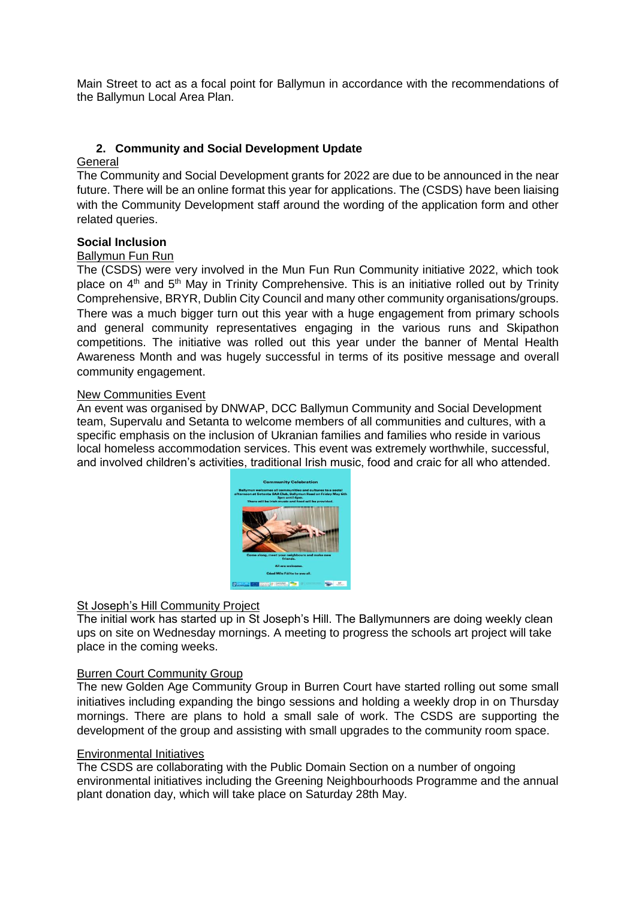Main Street to act as a focal point for Ballymun in accordance with the recommendations of the Ballymun Local Area Plan.

# **2. Community and Social Development Update**

# **General**

The Community and Social Development grants for 2022 are due to be announced in the near future. There will be an online format this year for applications. The (CSDS) have been liaising with the Community Development staff around the wording of the application form and other related queries.

# **Social Inclusion**

#### Ballymun Fun Run

The (CSDS) were very involved in the Mun Fun Run Community initiative 2022, which took place on  $4<sup>th</sup>$  and  $5<sup>th</sup>$  May in Trinity Comprehensive. This is an initiative rolled out by Trinity Comprehensive, BRYR, Dublin City Council and many other community organisations/groups. There was a much bigger turn out this year with a huge engagement from primary schools and general community representatives engaging in the various runs and Skipathon competitions. The initiative was rolled out this year under the banner of Mental Health Awareness Month and was hugely successful in terms of its positive message and overall community engagement.

#### New Communities Event

An event was organised by DNWAP, DCC Ballymun Community and Social Development team, Supervalu and Setanta to welcome members of all communities and cultures, with a specific emphasis on the inclusion of Ukranian families and families who reside in various local homeless accommodation services. This event was extremely worthwhile, successful, and involved children's activities, traditional Irish music, food and craic for all who attended.



# St Joseph's Hill Community Project

The initial work has started up in St Joseph's Hill. The Ballymunners are doing weekly clean ups on site on Wednesday mornings. A meeting to progress the schools art project will take place in the coming weeks.

#### Burren Court Community Group

The new Golden Age Community Group in Burren Court have started rolling out some small initiatives including expanding the bingo sessions and holding a weekly drop in on Thursday mornings. There are plans to hold a small sale of work. The CSDS are supporting the development of the group and assisting with small upgrades to the community room space.

#### Environmental Initiatives

The CSDS are collaborating with the Public Domain Section on a number of ongoing environmental initiatives including the Greening Neighbourhoods Programme and the annual plant donation day, which will take place on Saturday 28th May.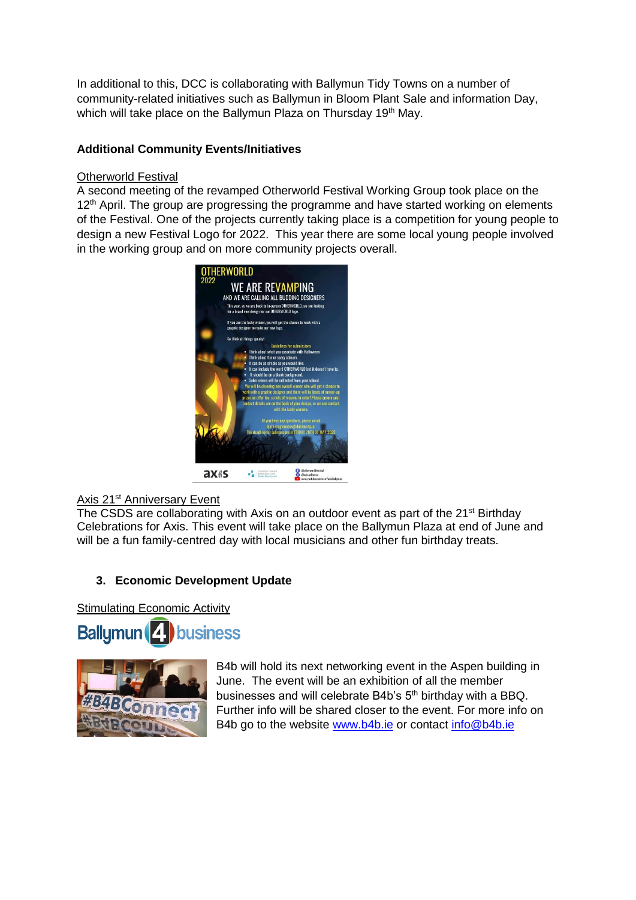In additional to this, DCC is collaborating with Ballymun Tidy Towns on a number of community-related initiatives such as Ballymun in Bloom Plant Sale and information Day, which will take place on the Ballymun Plaza on Thursday 19<sup>th</sup> May.

# **Additional Community Events/Initiatives**

#### Otherworld Festival

A second meeting of the revamped Otherworld Festival Working Group took place on the 12<sup>th</sup> April. The group are progressing the programme and have started working on elements of the Festival. One of the projects currently taking place is a competition for young people to design a new Festival Logo for 2022. This year there are some local young people involved in the working group and on more community projects overall.



# Axis 21<sup>st</sup> Anniversary Event

The CSDS are collaborating with Axis on an outdoor event as part of the 21<sup>st</sup> Birthday Celebrations for Axis. This event will take place on the Ballymun Plaza at end of June and will be a fun family-centred day with local musicians and other fun birthday treats.

# **3. Economic Development Update**

Stimulating Economic Activity





B4b will hold its next networking event in the Aspen building in June. The event will be an exhibition of all the member businesses and will celebrate B4b's 5<sup>th</sup> birthday with a BBQ. Further info will be shared closer to the event. For more info on B4b go to the website [www.b4b.ie](http://www.b4b.ie/) or contact [info@b4b.ie](mailto:info@b4b.ie)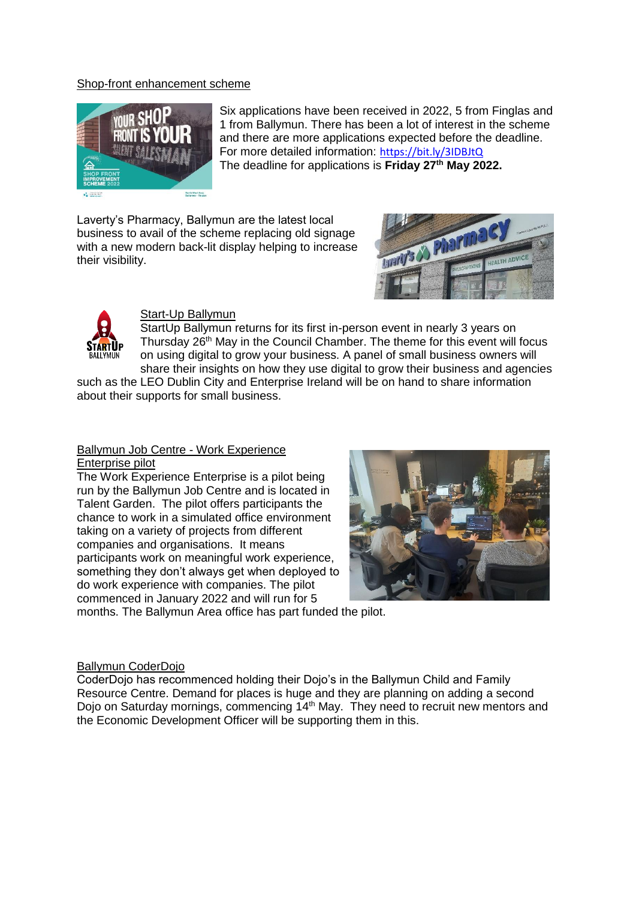#### Shop-front enhancement scheme



Six applications have been received in 2022, 5 from Finglas and 1 from Ballymun. There has been a lot of interest in the scheme and there are more applications expected before the deadline. For more detailed information: <https://bit.ly/3IDBJtQ> The deadline for applications is **Friday 27th May 2022.**

Laverty's Pharmacy, Ballymun are the latest local business to avail of the scheme replacing old signage with a new modern back-lit display helping to increase their visibility.





#### Start-Up Ballymun

Start Up Ballymun returns for its first in-person event in nearly 3 years on Thursday 26<sup>th</sup> May in the Council Chamber. The theme for this event will focus on using digital to grow your business. A panel of small business owners will share their insights on how they use digital to grow their business and agencies

such as the LEO Dublin City and Enterprise Ireland will be on hand to share information about their supports for small business.

#### Ballymun Job Centre - Work Experience Enterprise pilot

The Work Experience Enterprise is a pilot being run by the Ballymun Job Centre and is located in Talent Garden. The pilot offers participants the chance to work in a simulated office environment taking on a variety of projects from different companies and organisations. It means participants work on meaningful work experience, something they don't always get when deployed to do work experience with companies. The pilot commenced in January 2022 and will run for 5



months. The Ballymun Area office has part funded the pilot.

#### Ballymun CoderDojo

CoderDojo has recommenced holding their Dojo's in the Ballymun Child and Family Resource Centre. Demand for places is huge and they are planning on adding a second Dojo on Saturday mornings, commencing 14<sup>th</sup> May. They need to recruit new mentors and the Economic Development Officer will be supporting them in this.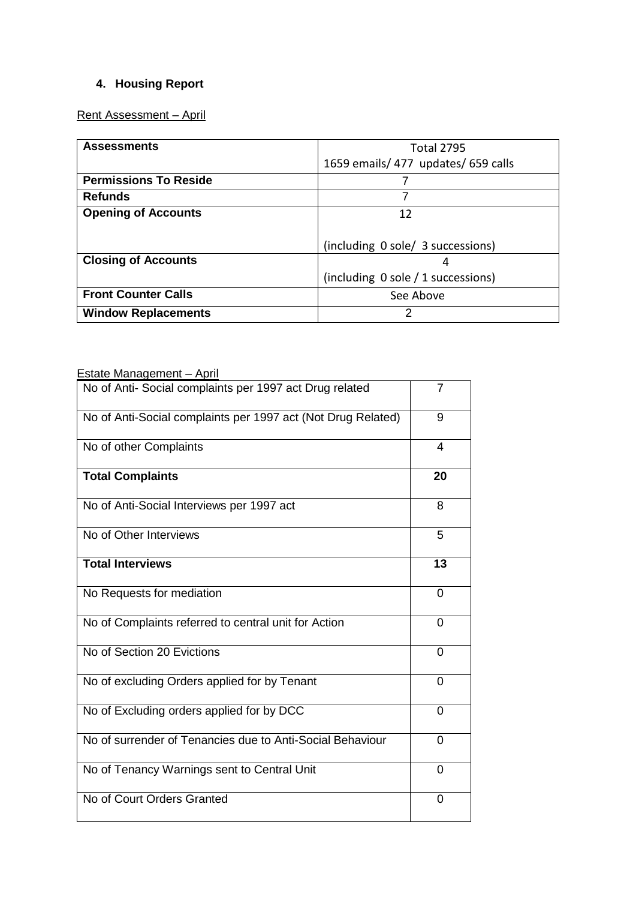# **4. Housing Report**

# Rent Assessment – April

| <b>Assessments</b>           | <b>Total 2795</b>                   |  |  |
|------------------------------|-------------------------------------|--|--|
|                              | 1659 emails/ 477 updates/ 659 calls |  |  |
| <b>Permissions To Reside</b> |                                     |  |  |
| <b>Refunds</b>               |                                     |  |  |
| <b>Opening of Accounts</b>   | 12                                  |  |  |
|                              |                                     |  |  |
|                              | (including 0 sole/ 3 successions)   |  |  |
| <b>Closing of Accounts</b>   | 4                                   |  |  |
|                              | (including 0 sole / 1 successions)  |  |  |
| <b>Front Counter Calls</b>   | See Above                           |  |  |
| <b>Window Replacements</b>   |                                     |  |  |

# Estate Management - April

| No of Anti- Social complaints per 1997 act Drug related      | 7        |
|--------------------------------------------------------------|----------|
| No of Anti-Social complaints per 1997 act (Not Drug Related) | 9        |
| No of other Complaints                                       | 4        |
| <b>Total Complaints</b>                                      | 20       |
| No of Anti-Social Interviews per 1997 act                    | 8        |
| No of Other Interviews                                       | 5        |
| <b>Total Interviews</b>                                      | 13       |
| No Requests for mediation                                    | 0        |
| No of Complaints referred to central unit for Action         | $\Omega$ |
| No of Section 20 Evictions                                   | 0        |
| No of excluding Orders applied for by Tenant                 | 0        |
| No of Excluding orders applied for by DCC                    | 0        |
| No of surrender of Tenancies due to Anti-Social Behaviour    | $\Omega$ |
| No of Tenancy Warnings sent to Central Unit                  | $\Omega$ |
| No of Court Orders Granted                                   | 0        |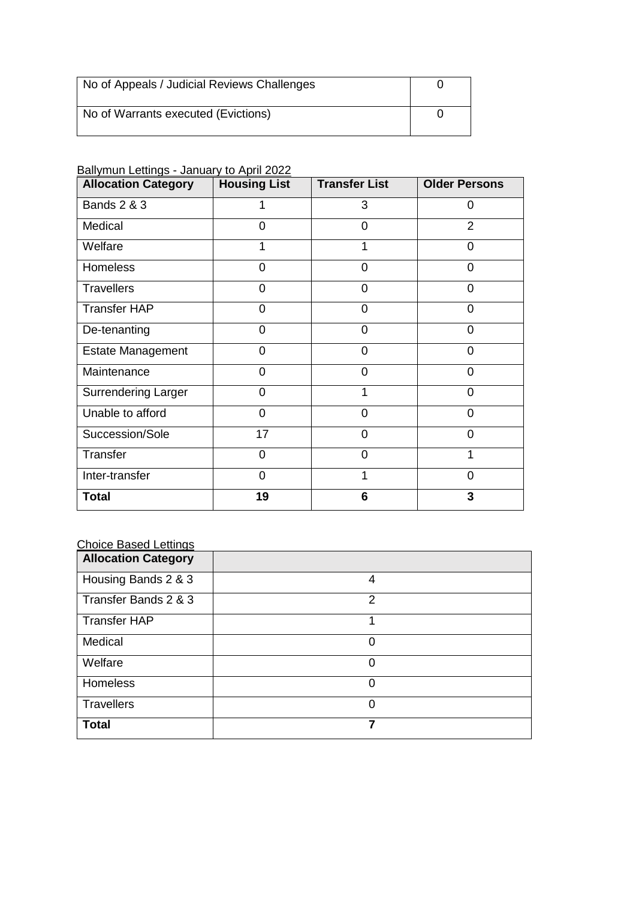| No of Appeals / Judicial Reviews Challenges |  |
|---------------------------------------------|--|
| No of Warrants executed (Evictions)         |  |

#### Ballymun Lettings - January to April 2022

| <b>Allocation Category</b> | <b>Housing List</b> | <b>Transfer List</b> | <b>Older Persons</b> |
|----------------------------|---------------------|----------------------|----------------------|
| <b>Bands 2 &amp; 3</b>     |                     | 3                    | 0                    |
| Medical                    | 0                   | ი                    | $\overline{2}$       |
| Welfare                    |                     |                      | 0                    |
| Homeless                   | $\Omega$            | 0                    | 0                    |
| <b>Travellers</b>          | $\Omega$            | 0                    | 0                    |
| <b>Transfer HAP</b>        | 0                   | 0                    | 0                    |
| De-tenanting               | 0                   | 0                    | 0                    |
| <b>Estate Management</b>   | 0                   | 0                    | $\Omega$             |
| Maintenance                | 0                   | 0                    | 0                    |
| <b>Surrendering Larger</b> | $\Omega$            |                      | $\Omega$             |
| Unable to afford           | 0                   | 0                    | $\Omega$             |
| Succession/Sole            | 17                  | 0                    | $\Omega$             |
| Transfer                   | $\Omega$            | 0                    | 1                    |
| Inter-transfer             | 0                   |                      | $\Omega$             |
| <b>Total</b>               | 19                  | 6                    | 3                    |

# Choice Based Lettings

| <b>Allocation Category</b> |                |
|----------------------------|----------------|
| Housing Bands 2 & 3        | 4              |
| Transfer Bands 2 & 3       | $\overline{2}$ |
| <b>Transfer HAP</b>        |                |
| Medical                    | 0              |
| Welfare                    | 0              |
| Homeless                   | $\Omega$       |
| <b>Travellers</b>          | 0              |
| <b>Total</b>               | 7              |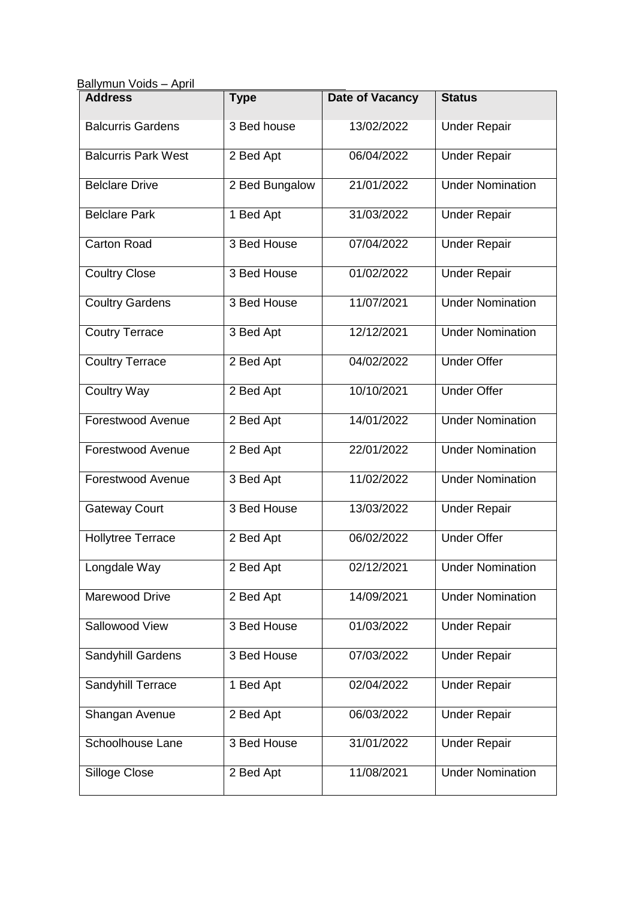| April<br>Ballymun Voids - |  |
|---------------------------|--|
|---------------------------|--|

| <b>Address</b>             | <b>Type</b>    | <b>Date of Vacancy</b> | <b>Status</b>           |
|----------------------------|----------------|------------------------|-------------------------|
| <b>Balcurris Gardens</b>   | 3 Bed house    | 13/02/2022             | <b>Under Repair</b>     |
| <b>Balcurris Park West</b> | 2 Bed Apt      | 06/04/2022             | <b>Under Repair</b>     |
| <b>Belclare Drive</b>      | 2 Bed Bungalow | 21/01/2022             | <b>Under Nomination</b> |
| <b>Belclare Park</b>       | 1 Bed Apt      | 31/03/2022             | <b>Under Repair</b>     |
| <b>Carton Road</b>         | 3 Bed House    | 07/04/2022             | <b>Under Repair</b>     |
| <b>Coultry Close</b>       | 3 Bed House    | 01/02/2022             | <b>Under Repair</b>     |
| <b>Coultry Gardens</b>     | 3 Bed House    | 11/07/2021             | <b>Under Nomination</b> |
| <b>Coutry Terrace</b>      | 3 Bed Apt      | 12/12/2021             | <b>Under Nomination</b> |
| <b>Coultry Terrace</b>     | 2 Bed Apt      | 04/02/2022             | <b>Under Offer</b>      |
| <b>Coultry Way</b>         | 2 Bed Apt      | 10/10/2021             | <b>Under Offer</b>      |
| Forestwood Avenue          | 2 Bed Apt      | 14/01/2022             | <b>Under Nomination</b> |
| Forestwood Avenue          | 2 Bed Apt      | 22/01/2022             | <b>Under Nomination</b> |
| Forestwood Avenue          | 3 Bed Apt      | 11/02/2022             | <b>Under Nomination</b> |
| <b>Gateway Court</b>       | 3 Bed House    | 13/03/2022             | <b>Under Repair</b>     |
| <b>Hollytree Terrace</b>   | 2 Bed Apt      | 06/02/2022             | <b>Under Offer</b>      |
| Longdale Way               | 2 Bed Apt      | 02/12/2021             | <b>Under Nomination</b> |
| Marewood Drive             | 2 Bed Apt      | 14/09/2021             | <b>Under Nomination</b> |
| Sallowood View             | 3 Bed House    | 01/03/2022             | <b>Under Repair</b>     |
| Sandyhill Gardens          | 3 Bed House    | 07/03/2022             | <b>Under Repair</b>     |
| Sandyhill Terrace          | 1 Bed Apt      | 02/04/2022             | <b>Under Repair</b>     |
| Shangan Avenue             | 2 Bed Apt      | 06/03/2022             | <b>Under Repair</b>     |
| Schoolhouse Lane           | 3 Bed House    | 31/01/2022             | <b>Under Repair</b>     |
| Silloge Close              | 2 Bed Apt      | 11/08/2021             | <b>Under Nomination</b> |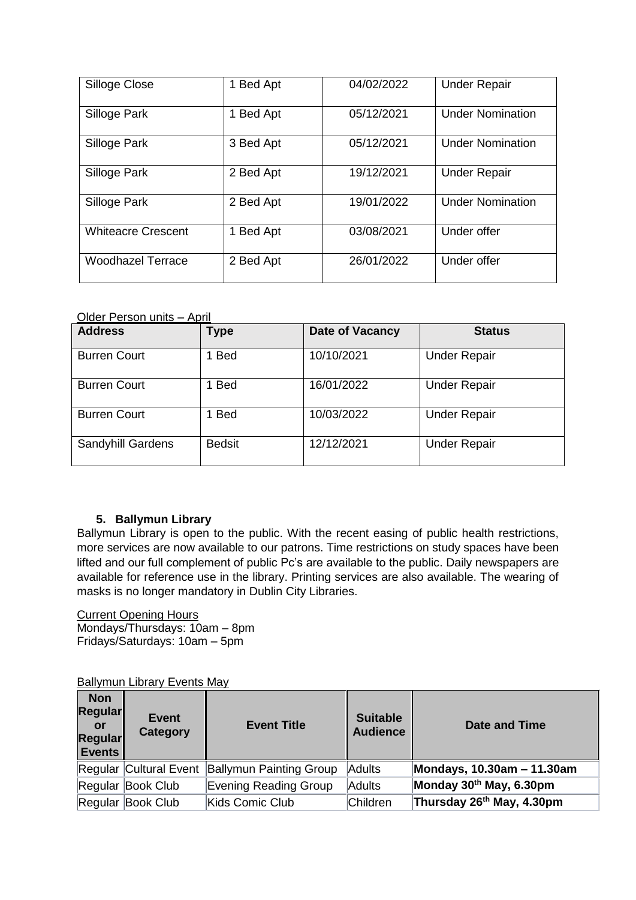| Silloge Close             | <b>Bed Apt</b>       | 04/02/2022 | <b>Under Repair</b>     |
|---------------------------|----------------------|------------|-------------------------|
| Silloge Park              | <b>Bed Apt</b><br>1  | 05/12/2021 | <b>Under Nomination</b> |
| Silloge Park              | 3 Bed Apt            | 05/12/2021 | <b>Under Nomination</b> |
| Silloge Park              | 2 Bed Apt            | 19/12/2021 | <b>Under Repair</b>     |
| Silloge Park              | 2 Bed Apt            | 19/01/2022 | <b>Under Nomination</b> |
| <b>Whiteacre Crescent</b> | <b>Bed Apt</b><br>1. | 03/08/2021 | Under offer             |
| <b>Woodhazel Terrace</b>  | 2 Bed Apt            | 26/01/2022 | Under offer             |

#### Older Person units – April

| <b>Address</b>      | <b>Type</b>   | <b>Date of Vacancy</b> | <b>Status</b>       |  |
|---------------------|---------------|------------------------|---------------------|--|
| <b>Burren Court</b> | 1 Bed         | 10/10/2021             | <b>Under Repair</b> |  |
| <b>Burren Court</b> | 1 Bed         | 16/01/2022             | <b>Under Repair</b> |  |
| <b>Burren Court</b> | 1 Bed         | 10/03/2022             | <b>Under Repair</b> |  |
| Sandyhill Gardens   | <b>Bedsit</b> | 12/12/2021             | <b>Under Repair</b> |  |

#### **5. Ballymun Library**

Ballymun Library is open to the public. With the recent easing of public health restrictions, more services are now available to our patrons. Time restrictions on study spaces have been lifted and our full complement of public Pc's are available to the public. Daily newspapers are available for reference use in the library. Printing services are also available. The wearing of masks is no longer mandatory in Dublin City Libraries.

#### Current Opening Hours Mondays/Thursdays: 10am – 8pm

Fridays/Saturdays: 10am – 5pm

# **Ballymun Library Events May**

| <b>Non</b><br>Regular<br>or<br>Regular<br><b>Events</b> | <b>Event</b><br>Category | <b>Event Title</b>                             | <b>Suitable</b><br><b>Audience</b> | <b>Date and Time</b>                  |
|---------------------------------------------------------|--------------------------|------------------------------------------------|------------------------------------|---------------------------------------|
|                                                         |                          | Regular Cultural Event Ballymun Painting Group | Adults                             | Mondays, 10.30am - 11.30am            |
|                                                         | Regular Book Club        | Evening Reading Group                          | Adults                             | Monday 30th May, 6.30pm               |
|                                                         | Regular Book Club        | Kids Comic Club                                | Children                           | Thursday 26 <sup>th</sup> May, 4.30pm |